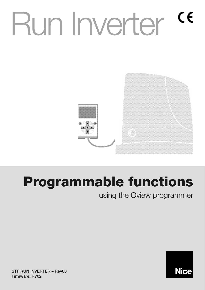# Run Inverter <sup>ce</sup>



# **Programmable functions**

using the Oview programmer



**STF RUN INVERTER – Rev00 Firmware: RV02**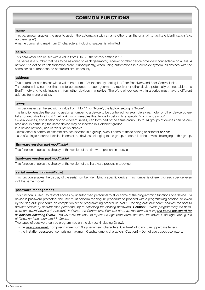# **COMMON FUNCTIONS**

#### **name**

This parameter enables the user to assign the automation with a name other than the original, to facilitate identification (e.g. northern gate").

A name comprising maximum 24 characters, including spaces, is admitted.

# **series**

This parameter can be set with a value from 0 to 63; the factory setting is "0".

The series is a number that has to be assigned to each gearmotor, receiver or other device potentially connectable on a BusT4 network, to define its "classification area". Subsequently, when using automations in a complex system, all devices with the same series number can be controlled simultaneously.

# **address**

This parameter can be set with a value from 1 to 128; the factory setting is "2" for Receivers and 3 for Control Units. The address is a number that has to be assigned to each gearmotor, receiver or other device potentially connectable on a BusT4 network, to distinguish it from other devices in a **series**. Therefore all devices within a series must have a different address from one another.

# **group**

This parameter can be set with a value from 1 to 14, or "None"; the factory setting is "None".

The function enables the user to assign a number to a device to be controlled (for example a gearmotor or other device potentially connectable to a BusT4 network), which enables this device to belong to a specific "command group".

Several devices, also if belonging to different **series**, can form part of the same group. Up to 14 groups of devices can be created and, in particular, the same device may be inserted in 4 different groups.

In a device network, use of this function enables:

**-** simultaneous control of different devices inserted in a **group**, even if some of these belong to different **series**;

**-** use of a single receiver, installed in one of the devices belonging to the group, to control all the devices belonging to this group.

# **firmware version** *(not modifiable)*

This function enables the display of the version of the firmware present in a device.

# **hardware version** *(not modifiable)*

This function enables the display of the version of the hardware present in a device.

# **serial number** *(not modifiable)*

This function enables the display of the serial number identifying a specific device. This number is different for each device, even if of the same model.

# **password management**

This function is useful to restrict access by unauthorised personnel to all or some of the programming functions of a device. If a device is password protected, the user must perform the "log in" procedure to proceed with a programming session, followed by the "log out" procedure on completion of the programming procedure. *Note – the "log out" procedure enables the user to prevent access by unauthorised personnel, by re-activating the existing password.* **Caution!** – *When programming the password on several devices (for example in Oview, the Control unit, Receiver etc.), we recommend using the same password for all devices including Oview. This will avoid the need to repeat the login procedure each time the device is changed during use of Oview and the connected Software.*

Two types of password can be programmed on the devices (including Oview).

- the **user password**, comprising maximum 6 alphanumeric characters. **Caution!** Do not use uppercase letters.
- the **installer password**, comprising maximum 6 alphanumeric characters. **Caution!** Do not use uppercase letters.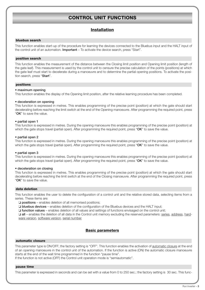# **CONTROL UNIT FUNCTIONS**

# **Installation**

# **bluebus search**

This function enables start-up of the procedure for learning the devices connected to the Bluebus input and the HALT input of the control unit of an automation. **Important** – To activate the device search, press "Start".

# **position search**

This function enables the measurement of the distance between the Closing limit position and Opening limit position (length of the gate leaf). This measurement is used by the control unit to censure the precise calculation of the points (positions) at which the gate leaf must start to decelerate during a manoeuvre and to determine the partial opening positions. To activate the position search, press "**Start**".

# **positions**

# • **maximum opening**

This function enables the display of the Opening limit position, after the relative learning procedure has been completed.

# • **deceleration on opening**

This function is expressed in metres. This enables programming of the precise point (position) at which the gate should start decelerating before reaching the limit switch at the end of the Opening manoeuvre. After programming the required point, press "**OK**" to save the value.

# • **partial open 1**

This function is expressed in metres. During the opening manoeuvre this enables programming of the precise point (position) at which the gate stops travel (partial open). After programming the required point, press "**OK**" to save the value.

# • **partial open 2**

This function is expressed in metres. During the opening manoeuvre this enables programming of the precise point (position) at which the gate stops travel (partial open). After programming the required point, press "**OK**" to save the value.

# • **partial open 3**

This function is expressed in metres. During the opening manoeuvre this enables programming of the precise point (position) at which the gate stops travel (partial open). After programming the required point, press "**OK**" to save the value.

# • **deceleration on closing**

This function is expressed in metres. This enables programming of the precise point (position) at which the gate should start decelerating before reaching the limit switch at the end of the Closing manoeuvre. After programming the required point, press "**OK**" to save the value.

# **data deletion**

This function enables the user to delete the configuration of a control unit and the relative stored data, selecting items from a series. These items are:

❏ **positions** – enables deletion of all memorised positions;

❏ **bluebus devices** – enables deletion of the configuration of the Bluebus devices and the HALT input;

❏ **function values** – enables deletion of all values and settings of functions envisaged on the control unit;

❏ **all** – enables the deletion of all data in the Control unit memory excluding the reserved parameters: series, address, hardware version, software version, serial number.

# **Basic parameters**

# **automatic closure**

This parameter type is ON/OFF; the factory setting is "OFF". This function enables the activation of automatic closure at the end of an opening manoeuvre in the control unit of the automation. If the function is active (ON) the automatic closure manoeuvre starts at the end of the wait time programmed in the function "pause time".

If the function is not active (OFF) the Control unit operation mode is "semiautomatic".

# **pause time**

This parameter is expressed in seconds and can be set with a value from 0 to 250 sec.; the factory setting is 30 sec. This func-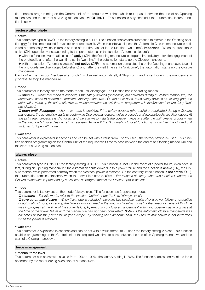tion enables programming on the Control unit of the required wait time which must pass between the end of an Opening manoeuvre and the start of a Closing manoeuvre. **IMPORTANT** – This function is only enabled if the "automatic closure" function is active.

#### **reclose after photo**

#### • **active**

This parameter type is ON/OFF; the factory setting is "OFF". The function enables the automation to remain in the Opening position only for the time required for vehicle or person transit. When this interval elapses the Automatic Closure manoeuvre is activated automatically, which in turn is started after a time as set in the function "wait time". **Important** – When the function is active (ON), operation varies according to the parameter set in the function "Automatic closure":

- ◆ with the function "Automatic closure" **active** (ON), the Opening manoeuvre is stopped immediately after disengagement of the photocells and, after the wait time set in "wait time", the automation starts up the Closure manoeuvre.
- ◆ with the function "Automatic closure" **not active** (OFF), the automation completes the entire Opening manoeuvre (even if the photocells are disengaged beforehand) and, after the wait time set in "wait time", the automation starts up the Closure manoeuvre.

**Caution!** – The function "reclose after photo" is disabled automatically if Stop command is sent during the manoeuvre in progress, to stop the manoeuvre.

#### • **mode**

This parameter is factory set on the mode "open until disengage" The function has 2 operating modes:

❏ *open all – when this mode is enabled, if the safety devices (photocells) are activated during a Closure manoeuvre, the automation starts to perform a complete Opening manoeuvre. On the other hand, if the safety devices are disengaged, the automation starts up the automatic closure manoeuvre after the wait time as programmed in the function "closure delay time" has elapsed.*

❏ *open until disengage – when this mode is enabled, if the safety devices (photocells) are activated during a Closure manoeuvre, the automation starts to perform an Opening manoeuvre, which proceeds until the photocells are disengaged. At this point the manoeuvre is shut down and the automation starts the closure manoeuvre after the wait time as programmed in the function "closure delay time" has elapsed. Note – If the "Automatic closure" function is not active, the Control unit switches to "open all" mode.*

#### • **wait time**

This parameter is expressed in seconds and can be set with a value from 0 to 250 sec.; the factory setting is 5 sec. This function enables programming on the Control unit of the required wait time to pass between the end of an Opening manoeuvre and the start of a Closing manoeuvre.

#### **always close**

#### • **active**

This parameter type is ON/OFF; the factory setting is "OFF". This function is useful in the event of a power failure, even brief. In fact, during an Opening manoeuvre if the automation shuts down due to a power failure and the function **is active** (ON), the Closure manoeuvre is performed normally when the electrical power is restored. On the contrary, if the function **is not active** (OFF), the automation remains stationary when the power is restored. *Note – For reasons of safety, when the function is active, the Closure manoeuvre is preceded by a wait time as programmed in the function "pre-flash time".*

#### • **mode**

This parameter is factory set on the mode "always close" The function has 2 operating modes:

❏ *standard – For this mode, refer to the function "active" under the item "always close";*

❏ *save automatic closure – When this mode is activated, there are two possible results after a power failure: a) execution of automatic closure, observing the time as programmed in the function "pre-flash time", if the timeout interval of this time was in progress at the time of the power failure; b) execution of closure manoeuvre if automatic closure was in progress at the time of the power failure and the manoeuvre had not been completed. Note – If the automatic closure manoeuvre was cancelled before the power failure (for example, by sending the Halt command), the Closure manoeuvre is not performed when the power is restored.*

# • **wait time**

This parameter is expressed in seconds and can be set with a value from 0 to 20 sec.; the factory setting is 5 sec. This function enables programming on the Control unit of the required wait time to pass between the end of an Opening manoeuvre and the start of a Closing manoeuvre.

#### **force management**

# • **manual force level**

This parameter can be set with a value from 10% to 100%; the factory setting is 70%. The function enables control of the force absorbed by the motor during execution of a manoeuvre.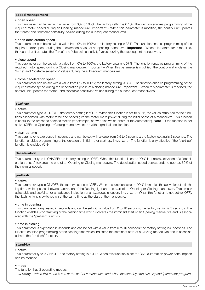# **speed management**

# • **open speed**

This parameter can be set with a value from 0% to 100%; the factory setting is 67 %. The function enables programming of the required motor speed during an Opening manoeuvre. **Important** – When this parameter is modified, the control unit updates the "force" and "obstacle sensitivity" values during the subsequent manoeuvres.

#### • **open deceleration speed**

This parameter can be set with a value from 0% to 100%; the factory setting is 33%. The function enables programming of the required motor speed during the deceleration phase of an opening manoeuvre. **Important** – When this parameter is modified, the control unit updates the "force" and "obstacle sensitivity" values during the subsequent manoeuvres.

#### • **close speed**

This parameter can be set with a value from 0% to 100%; the factory setting is 67%. The function enables programming of the required motor speed during a Closing manoeuvre. **Important** – When this parameter is modified, the control unit updates the "force" and "obstacle sensitivity" values during the subsequent manoeuvres.

#### • **close deceleration speed**

This parameter can be set with a value from 0% to 100%; the factory setting is 33%. The function enables programming of the required motor speed during the deceleration phase of a closing manoeuvre. **Important** – When this parameter is modified, the control unit updates the "force" and "obstacle sensitivity" values during the subsequent manoeuvres.

# **start-up**

#### • **active**

This parameter type is ON/OFF; the factory setting is "OFF". When this function is set to "ON", the values attributed to the functions associated with motor force and speed give the motor more power during the initial phase of a manoeuvre. This function is useful in the presence of static friction (for example, snow or ice which obstruct the automation). **Note** – If the function is not active (OFF) the Opening or Closing manoeuvre starts with a gradual acceleration.

#### • **start-up time**

This parameter is expressed in seconds and can be set with a value from 0.5 to 5 seconds; the factory setting is 2 seconds. The function enables programming of the duration of initial motor start-up. **Important** – The function is only effective if the "start-up" function is enabled (ON).

# **deceleration**

This parameter type is ON/OFF; the factory setting is "OFF". When this function is set to "ON" it enables activation of a "deceleration phase" towards the end of an Opening or Closing manoeuvre. The deceleration speed corresponds to approx. 60% of the nominal speed.

# **preflash**

# • **active**

This parameter type is ON/OFF; the factory setting is "OFF". When this function is set to "ON" it enables the activation of a flashing time, which passes between activation of the flashing light and the start of an Opening or Closing manoeuvre. This time is adjustable and useful to for an advance indication of a hazardous situation. **Important** – When this function is not active (OFF), the flashing light is switched on at the same time as the start of the manoeuvre.

# • **time in opening**

This parameter is expressed in seconds and can be set with a value from 0 to 10 seconds; the factory setting is 3 seconds. The function enables programming of the flashing time which indicates the imminent start of an Opening manoeuvre and is associated with the "preflash" function.

# • **time in closing**

This parameter is expressed in seconds and can be set with a value from 0 to 10 seconds; the factory setting is 3 seconds. The function enables programming of the flashing time which indicates the imminent start of a Closing manoeuvre and is associated with the "preflash" function.

# **stand-by**

# • **active**

This parameter type is ON/OFF; the factory setting is "OFF". When this function is set to "ON", automation power consumption can be reduced.

#### • **mode**

The function has 3 operating modes:

❏ *safety – when this mode is set, at the end of a manoeuvre and when the standby time has elapsed (parameter program-*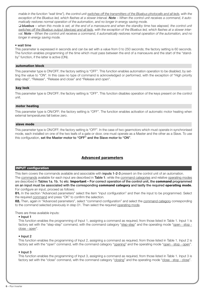*mable in the function "wait time"), the control unit switches off the transmitters of the Bluebus photocells and all leds, with the* exception of the Bluebus led, which flashes at a slower interval. Note – When the control unit receives a command, it auto*matically restores normal operation of the automation, and no longer in energy saving mode.*

❏ *bluebus – when this mode is set, at the end of a manoeuvre and when the standby time has elapsed, the control unit switches off the Bluebus output (devices) and all leds, with the exception of the Bluebus led, which flashes at a slower interval. Note – When the control unit receives a command, it automatically restores normal operation of the automation, and no longer in energy saving mode.*

# • **wait time**

This parameter is expressed in seconds and can be set with a value from 0 to 250 seconds; the factory setting is 60 seconds. The function enables programming of the time which must pass between the end of a manoeuvre and the start of the "standby" function, if the latter is active (ON).

# **automation block**

This parameter type is ON/OFF; the factory setting is "OFF". This function enables automation operation to be disabled, by setting the value to "ON". In this case no type of command is acknowledged or performed, with the exception of "High priority step-step", "Release", "Release and close" and "Release and open".

# **key lock**

This parameter type is ON/OFF; the factory setting is "OFF". This function disables operation of the keys present on the control unit.

# **motor heating**

This parameter type is ON/OFF; the factory setting is "OFF". The function enables activation of automatic motor heating when external temperatures fall below zero.

# **slave mode**

This parameter type is ON/OFF; the factory setting is "OFF". In the case of two gearmotors which must operate in synchronised mode, each installed on one of the two leafs of a gate or door, one must operate as a Master and the other as a Slave. To use this configuration, **set the Master motor to "OFF" and the Slave motor to "ON"**.

# **Advanced parameters**

# **INPUT configuration**

This item covers the commands available and associable with **inputs 1-2-3** present on the control unit of an automation.

The commands available for each input are described in **Table 1**; while the command categories and relative operating modes are described in **Tables 1a**, **1b**, **1c etc**. **Important – For correct operation of the control unit, the command programmed on an input must be associated with the corresponding command category and lastly the required operating mode.** For configure an input, proceed as follows:

**01.** In the section "Advanced parameters" select the item "input configuration" and then the input to be programmed. Select the required command and press "OK" to confirm the selection.

**02.** Then, again in "Advanced parameters", select "command configuration" and select the command category corresponding to the command selected previously in step 01. Then select the required operating mode.

# There are three available inputs:

# • **Input 1**

This function enables the programming of Input 1, assigning a command as required, from those listed in Table 1. Input 1 is factory set with the "step-step" command, with the command category "step-step" and the operating mode "open - stop close - open".

# • **Input 2**

This function enables the programming of Input 2, assigning a command as required, from those listed in Table 1. Input 2 is factory set with the "open" command, with the command category "opening" and the operating mode "open - stop - open".

# • **Input 3**

This function enables the programming of Input 3, assigning a command as required, from those listed in Table 1. Input 3 is factory set with the "close" command, with the command category "closing" and the operating mode "close - stop - close".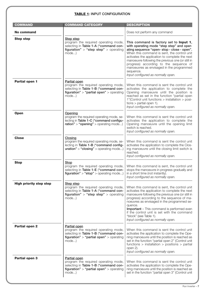# **TABLE 1: INPUT CONFIGURATION**

| <b>COMMAND</b>                 | <b>COMMAND CATEGORY</b>                                                                                                                                   | <b>DESCRIPTION</b>                                                                                                                                                                                                                                                                                                                                                                                                                  |
|--------------------------------|-----------------------------------------------------------------------------------------------------------------------------------------------------------|-------------------------------------------------------------------------------------------------------------------------------------------------------------------------------------------------------------------------------------------------------------------------------------------------------------------------------------------------------------------------------------------------------------------------------------|
| No command                     |                                                                                                                                                           | Does not perform any command                                                                                                                                                                                                                                                                                                                                                                                                        |
| <b>Step step</b>               | Step step<br>program the required operating mode,<br>selecting in Table 1-A ("command con-<br>figuration" > "step step" > operating<br>mode)              | This command is factory set to Input 1,<br>with operating mode "step step" and oper-<br>ating sequence "open- stop - close - open".<br>When this command is sent, the control unit<br>activates the application to complete the next<br>manoeuvre following the previous one (or still in<br>progress) according to the sequence of<br>manoeuvres as envisaged in the programmed<br>sequence.<br>Input configured as normally open. |
| Partial open 1                 | <b>Partial open</b><br>program the required operating mode,<br>selecting in Table 1-B ("command con-<br>figuration" > "partial open" > operating<br>mode) | When this command is sent the control unit<br>activates the application to complete the<br>Opening manoeuvre until the position is<br>reached as set in the function "partial open<br>1"(Control unit functions > installation > posi-<br>$tions$ > partial open 1).<br>Input configured as normally open.                                                                                                                          |
| <b>Open</b>                    | Opening<br>program the required operating mode, se-<br>lecting in Table 1-C ("command configu-<br>$ration" > "opening" > operating mode$                  | When this command is sent the control unit<br>activates the application to complete the<br>Opening manoeuvre until the opening limit<br>switch is reached.<br>Input configured as normally open.                                                                                                                                                                                                                                    |
| <b>Close</b>                   | Closing<br>program the required operating mode, se-<br>lecting in Table 1-B ("command config-<br>$uration" > "closing" > operating mode$                  | When this command is sent the control unit<br>activates the application to complete the Clos-<br>ing manoeuvre until the closing limit switch is<br>reached.<br>Input configured as normally open.                                                                                                                                                                                                                                  |
| <b>Stop</b>                    | <b>Stop</b><br>program the required operating mode,<br>selecting in Table 1-E ("command con-<br><b>figuration"</b> > "stop" > operating mode)             | When this command is sent, the control unit<br>stops the manoeuvre in progress gradually and<br>in a short time (not instantly).<br>Input configured as normally open.                                                                                                                                                                                                                                                              |
| <b>High priority step step</b> | Step step<br>program the required operating mode,<br>selecting in Table 1-A ("command con-<br>figuration" > "step step" > operating<br>mode)              | When this command is sent, the control unit<br>activates the application to complete the next<br>manoeuvre following the previous one (or still in<br>progress) according to the sequence of ma-<br>noeuvres as envisaged in the programmed se-<br>quence.<br><b>Important</b> – This command is performed even<br>if the control unit is set with the command<br>"block" (see Table 1).<br>Input configured as normally open.      |
| Partial open 2                 | Partial open<br>program the required operating mode,<br>selecting in Table 1-B ("command con-<br>figuration" > "partial open" > operating<br>mode)        | When this command is sent the control unit<br>activates the application to complete the Ope-<br>ning manoeuvre until the position is reached as<br>set in the function "partial open 2" (Control unit<br>functions $>$ installation $>$ positions $>$ partial<br>open 2).<br>Input configured as normally open.                                                                                                                     |
| <b>Partial open 3</b>          | <b>Partial open</b><br>program the required operating mode,<br>selecting in Table 1-B ("command con-<br>figuration" > "partial open" > operating<br>mode) | When this command is sent the control unit<br>activates the application to complete the Ope-<br>ning manoeuvre until the position is reached as<br>set in the function "partial open 3" (Control unit                                                                                                                                                                                                                               |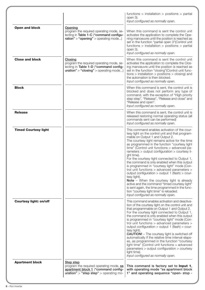|                               |                                                                                                                                                 | functions $>$ installation $>$ positions $>$ partial<br>open 3).<br>Input configured as normally open.                                                                                                                                                                                                                                                                                                                                                                                                                                                                                                                                                                                                                                                                                                                                                      |
|-------------------------------|-------------------------------------------------------------------------------------------------------------------------------------------------|-------------------------------------------------------------------------------------------------------------------------------------------------------------------------------------------------------------------------------------------------------------------------------------------------------------------------------------------------------------------------------------------------------------------------------------------------------------------------------------------------------------------------------------------------------------------------------------------------------------------------------------------------------------------------------------------------------------------------------------------------------------------------------------------------------------------------------------------------------------|
| Open and block                | Opening<br>program the required operating mode, se-<br>lecting in Table 1-C ("command configu-<br>$ration" > "opening" > operating mode$        | When this command is sent the control unit<br>activates the application to complete the Ope-<br>ning manoeuvre until the position is reached as<br>set in the function "partial open 3" (Control unit<br>functions $>$ installation $>$ positions $>$ partial<br>open 3).<br>Input configured as normally open.                                                                                                                                                                                                                                                                                                                                                                                                                                                                                                                                             |
| <b>Close and block</b>        | <b>Closing</b><br>program the required operating mode, se-<br>lecting in Table 1-D ("command config-<br>$uration" > "closing" > operating mode$ | When this command is sent the control unit<br>activates the application to complete the Clos-<br>ing manoeuvre until the position is reached as<br>set in the function "closing" (Control unit func-<br>tions $>$ installation $>$ positions $>$ closing) and<br>the automation is then blocked.<br>Input configured as normally open.                                                                                                                                                                                                                                                                                                                                                                                                                                                                                                                      |
| <b>Block</b>                  |                                                                                                                                                 | When this command is sent, the control unit is<br>blocked and does not perform any type of<br>command, with the exception of "High priority<br>step-step", "Release", "Release and close" and<br>"Release and open".<br>Input configured as normally open.                                                                                                                                                                                                                                                                                                                                                                                                                                                                                                                                                                                                  |
| <b>Release</b>                |                                                                                                                                                 | When this command is sent, the control unit is<br>released restoring normal operating status (all<br>commands sent can be performed)<br>Input configured as normally open.                                                                                                                                                                                                                                                                                                                                                                                                                                                                                                                                                                                                                                                                                  |
| <b>Timed Courtesy light</b>   |                                                                                                                                                 | This command enables activation of the cour-<br>tesy light on the control unit and that program-<br>mable on Output 1 and Output 2.<br>The courtesy light remains active for the time<br>as programmed in the function "courtesy light<br>time" (Control unit functions > advanced pa-<br>rameters > output configuration > courtesy li-<br>ght time).<br>For the courtesy light connected to Output 1,<br>the command is only enabled when this output<br>is programmed in "courtesy light" mode (Con-<br>trol unit functions > advanced parameters ><br>output configuration > output 1 (flash) > cour-<br>tesy light).<br>Note - When the courtesy light is already<br>active and the command "timed courtesy light"<br>is sent again, the time programmed in the func-<br>tion "courtesy light time" is reloaded.<br>Input configured as normally open. |
| <b>Courtesy light: on/off</b> |                                                                                                                                                 | This command enables activation and deactiva-<br>tion of the courtesy light on the control unit and<br>that programmable on Output 1 and Output 2.<br>For the courtesy light connected to Output 1,<br>the command is only enabled when this output<br>is programmed in "courtesy light" mode (Con-<br>trol unit functions > advanced parameters ><br>output configuration > output 1 (flash) > cour-<br>tesy light).<br><b>CAUTION!</b> - The courtesy light is switched off<br>automatically if the relative time interval elaps-<br>es, as programmed in the function "courtesy<br>light time" (Control unit functions > advanced<br>parameters > output configuration > courtesy<br>light time).<br>Input configured as normally open.                                                                                                                  |
| <b>Apartment block</b>        | <b>Step step</b><br>program the required operating mode, ss<br>apartment block 1 ("command config-<br>$uration" > "step step" > operating mo-$  | This command is factory set to Input 1,<br>with operating mode "ss apartment block<br>1" and operating sequence "open- stop -                                                                                                                                                                                                                                                                                                                                                                                                                                                                                                                                                                                                                                                                                                                               |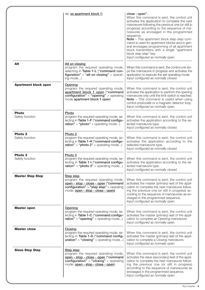|                                       | de: ss apartment block 1)                                                                                                                                                          | close - open".<br>When this command is sent, the control unit<br>activates the application to complete the next<br>manoeuvre following the previous one (or still in<br>progress) according to the sequence of ma-<br>noeuvres as envisaged in the programmed<br>sequence.<br>Note - This apartment block step step com-<br>mand is used for apartment blocks and in gen-<br>eral envisages programming of all apartment<br>block transmitters with a single "apartment<br>block step step" key.<br>Input configured as normally open. |
|---------------------------------------|------------------------------------------------------------------------------------------------------------------------------------------------------------------------------------|----------------------------------------------------------------------------------------------------------------------------------------------------------------------------------------------------------------------------------------------------------------------------------------------------------------------------------------------------------------------------------------------------------------------------------------------------------------------------------------------------------------------------------------|
| Alt                                   | Alt on closing<br>program the required operating mode,<br>selecting in Table 1-L ("command con-<br>figuration" $>$ "alt on closing" $>$ operat-<br>ing mode)                       | When this command is sent, the control unit sto-<br>ps the manoeuvre in progress and activates the<br>application to execute the set operating mode.<br>Input configured as normally closed.                                                                                                                                                                                                                                                                                                                                           |
| <b>Apartment block open</b>           | Opening<br>program the required operating mode,<br>apartment block 1 open ("command<br>$\overline{\text{configuration}}$ " > "opening" > operating<br>mode apartment block 1 open) | When this command is sent, the control unit<br>activates the application to perform the opening<br>manoeuvre only until the limit switch is reached.<br>Note - This command is useful when using<br>control photocells or a magnetic detector loop.<br>Input configured as normally open.                                                                                                                                                                                                                                              |
| <b>Photo</b><br>Safety function       | Photo<br>program the required operating mode, se-<br>lecting in Table 1-F ("command configu-<br>$rational$ > "photo" > operating mode)                                             | When this command is sent, the control unit<br>activates the application according to the se-<br>lected manoeuvre type.<br>Input configured as normally closed.                                                                                                                                                                                                                                                                                                                                                                        |
| Photo <sub>2</sub><br>Safety function | Photo <sub>2</sub><br>program the required operating mode, se-<br>lecting in Table 1-H ("command configu-<br>$ration" > "photo 2" > operating mode$                                | When this command is sent, the control unit<br>activates the application according to the<br>selected manoeuvre type.<br>Input configured as normally closed.                                                                                                                                                                                                                                                                                                                                                                          |
| Photo <sub>3</sub><br>Safety function | Photo 3<br>program the required operating mode, se-<br>lecting in Table 1-I ("command configu-<br>$ration" > "photo 3" > operating mode$                                           | When this command is sent, the control unit<br>activates the application according to the se-<br>lected manoeuvre type.<br>Input configured as normally closed.                                                                                                                                                                                                                                                                                                                                                                        |
| <b>Master Step Step</b>               | Step step<br>program the required operating mode,<br>open - stop - close - open ("command<br>configuration" > "step step" > operating<br>mode: open - stop - close - open)         | When this command is sent, the control unit<br>activates the master (primary) leaf of the appli-<br>cation to complete the next manoeuvre follow-<br>ing the previous one (or still in progress) ac-<br>cording to the sequence of manoeuvres as en-<br>visaged in the programmed sequence.<br>Input configured as normally open.                                                                                                                                                                                                      |
| <b>Master open</b>                    | <b>Opening</b><br>program the required operating mode, se-<br>lecting in Table 1-C ("command configu-<br>$ration" > "opening" > operating mode$                                    | When this command is sent, the control unit<br>activates the master (primary) leaf of the appli-<br>cation to complete an Opening manoeuvre.<br>Input configured as normally open.                                                                                                                                                                                                                                                                                                                                                     |
| <b>Master close</b>                   | Closing<br>program the required operating mode, se-<br>lecting in Table 1-D ("command config-<br>$uration" > "closing" > operating mode$                                           | When this command is sent, the control unit<br>activates the master (primary) leaf of the appli-<br>cation to complete a Closing manoeuvre.<br>Input configured as normally open.                                                                                                                                                                                                                                                                                                                                                      |
| <b>Slave Step Step</b>                | <b>Step step</b><br>program the required operating mode,<br>open - stop - close - open ("command<br>configuration" > "closing" > operating<br>mode: open - stop - close - open)    | When this command is sent, the control unit<br>activates the slave (secondary) leaf of the appli-<br>cation to complete the next manoeuvre follow-<br>ing the previous one (or still in progress)<br>according to the sequence of manoeuvres as<br>envisaged in the programmed sequence.<br>Input configured as normally open.                                                                                                                                                                                                         |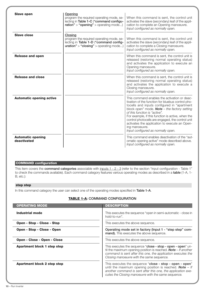| <b>Slave open</b>                       | Opening<br>program the required operating mode, se-<br>lecting in Table 1-C ("command configu-<br>$ration" > "opening" > operating mode$ | When this command is sent, the control unit<br>activates the slave (secondary) leaf of the appli-<br>cation to complete an Opening manoeuvre.<br>Input configured as normally open.                                                                                                                                                                                                                                                                          |
|-----------------------------------------|------------------------------------------------------------------------------------------------------------------------------------------|--------------------------------------------------------------------------------------------------------------------------------------------------------------------------------------------------------------------------------------------------------------------------------------------------------------------------------------------------------------------------------------------------------------------------------------------------------------|
| <b>Slave close</b>                      | Closing<br>program the required operating mode, se-<br>lecting in Table 1-D ("command config-<br>$uration" > "closing" > operating mode$ | When this command is sent, the control unit<br>activates the slave (secondary) leaf of the appli-<br>cation to complete a Closing manoeuvre.<br>Input configured as normally open.                                                                                                                                                                                                                                                                           |
| <b>Release and open</b>                 |                                                                                                                                          | When this command is sent, the control unit is<br>released (restoring normal operating status)<br>and activates the application to execute an<br>Opening manoeuvre.<br>Input configured as normally open.                                                                                                                                                                                                                                                    |
| <b>Release and close</b>                |                                                                                                                                          | When this command is sent, the control unit is<br>released (restoring normal operating status)<br>and activates the application to execute a<br>Closing manoeuvre.<br>Input configured as normally open.                                                                                                                                                                                                                                                     |
| <b>Automatic opening active</b>         |                                                                                                                                          | This command enables the activation or deac-<br>tivation of the function for bluebus control pho-<br>tocells and inputs configured in "apartment<br>block open" mode. <b>Note</b> $-$ the factory setting<br>of this function is "active".<br>For example, if this function is active, when the<br>control photocells are engaged, the control unit<br>activates the application to execute an Open-<br>ing manoeuvre.<br>Input configured as normally open. |
| <b>Automatic opening</b><br>deactivated |                                                                                                                                          | This command enables deactivation of the "aut-<br>omatic opening active" mode described above.<br>Input configured as normally open.                                                                                                                                                                                                                                                                                                                         |

# **COMMAND configuration**

This item covers the **command categories** associable with inputs 1 - 2 - 3 (refer to the section "input configuration - Table 1" to check the commands available). Each command category features various operating modes as described in a **table** (1-A, 1- B, etc.):

# **step step**

In this command category the user can select one of the operating modes specified in **Table 1-A**.

# **TABLE 1-A: COMMAND CONFIGURATION**

| <b>OPERATING MODE</b>              | <b>DESCRIPTION</b>                                                                                                                                                                                                                                  |
|------------------------------------|-----------------------------------------------------------------------------------------------------------------------------------------------------------------------------------------------------------------------------------------------------|
| Industrial mode                    | This executes the sequence "open in semi-automatic - close in<br>hold-to-run".                                                                                                                                                                      |
| Open - Stop - Close - Stop         | This executes the above sequence.                                                                                                                                                                                                                   |
| <b>Open - Stop - Close - Open</b>  | Operating mode set in factory (Input 1 - "step step" com-<br>mand). This executes the above sequence.                                                                                                                                               |
| <b>Open - Close - Open - Close</b> | This executes the above sequence.                                                                                                                                                                                                                   |
| Apartment block 1 step step        | This executes the sequence "close - stop - open - open" un-<br>til the maximum opening position is reached. <b>Note</b> $-$ If another<br>command is sent after this one, the application executes the<br>Closing manoeuvre with the same sequence. |
| <b>Apartment block 2 step step</b> | This executes the sequence "close - stop - open - open"<br>until the maximum opening position is reached. <b>Note</b> $-$ If<br>another command is sent after this one, the application exe-<br>cutes the Closing manoeuvre with the same sequence. |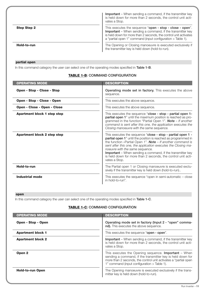|                    | <b>Important</b> – When sending a command, if the transmitter key<br>is held down for more than 2 seconds, the control unit acti-<br>vates a Stop.                                                                                                               |
|--------------------|------------------------------------------------------------------------------------------------------------------------------------------------------------------------------------------------------------------------------------------------------------------|
| <b>Step Step 2</b> | This executes the sequence "open - stop - close - open".<br><b>Important</b> – When sending a command, if the transmitter key<br>is held down for more than 2 seconds, the control unit activates<br>a "partial open 1" command (input configuration > Table 1). |
| Hold-to-run        | The Opening or Closing manoeuvre is executed exclusively if<br>the transmitter key is held down (hold-to-run).                                                                                                                                                   |

# **partial open**

In this command category the user can select one of the operating modes specified in **Table 1-B**.

# **TABLE 1-B: COMMAND CONFIGURATION**

| <b>OPERATING MODE</b>       | <b>DESCRIPTION</b>                                                                                                                                                                                                                                                                                                                                                                                                                                              |
|-----------------------------|-----------------------------------------------------------------------------------------------------------------------------------------------------------------------------------------------------------------------------------------------------------------------------------------------------------------------------------------------------------------------------------------------------------------------------------------------------------------|
| Open - Stop - Close - Stop  | <b>Operating mode set in factory.</b> This executes the above<br>sequence.                                                                                                                                                                                                                                                                                                                                                                                      |
| Open - Stop - Close - Open  | This executes the above sequence.                                                                                                                                                                                                                                                                                                                                                                                                                               |
| Open - Close - Open - Close | This executes the above sequence.                                                                                                                                                                                                                                                                                                                                                                                                                               |
| Apartment block 1 step step | This executes the sequence "close - stop - partial open 1-<br>partial open 1" until the maximum position is reached as pro-<br>grammed in the function "Partial Open 1". <b>Note</b> $-$ If another<br>command is sent after this one, the application executes the<br>Closing manoeuvre with the same sequence.                                                                                                                                                |
| Apartment block 2 step step | This executes the sequence "close - stop - partial open 1 -<br>partial open 1" until the position is reached as programmed in<br>the function »Partial Open 1". <b>Note</b> $-$ If another command is<br>sent after this one, the application executes the Closing ma-<br>noeuvre with the same sequence.<br><b>Important</b> – When sending a command, if the transmitter key<br>is held down for more than 2 seconds, the control unit acti-<br>vates a Stop. |
| Hold-to-run                 | The Partial open 1 or Closing manoeuvre is executed exclu-<br>sively if the transmitter key is held down (hold-to-run)                                                                                                                                                                                                                                                                                                                                          |
| <b>Industrial mode</b>      | This executes the sequence "open in semi-automatic $-$ close<br>in hold-to-run".                                                                                                                                                                                                                                                                                                                                                                                |

# **open**

In this command category the user can select one of the operating modes specified in **Table 1-C**.

# **TABLE 1-C: COMMAND CONFIGURATION**

| <b>OPERATING MODE</b>    | <b>DESCRIPTION</b>                                                                                                                                                                                                                            |
|--------------------------|-----------------------------------------------------------------------------------------------------------------------------------------------------------------------------------------------------------------------------------------------|
| Open - Stop - Open       | Operating mode set in factory (Input 2 - "open" comma-<br>nd). This executes the above sequence.                                                                                                                                              |
| <b>Apartment block 1</b> | This executes the sequence "open - open".                                                                                                                                                                                                     |
| <b>Apartment block 2</b> | <b>Important</b> – When sending a command, if the transmitter key<br>is held down for more than 2 seconds, the control unit acti-<br>vates a Stop.                                                                                            |
| Open <sub>2</sub>        | This executes the Opening sequence. <b>Important</b> $-$ When<br>sending a command, if the transmitter key is held down for<br>more than 2 seconds, the control unit activates a "partial open<br>1" command (input configuration > Table 1). |
| <b>Hold-to-run Open</b>  | The Opening manoeuvre is executed exclusively if the trans-<br>mitter key is held down (hold-to-run).                                                                                                                                         |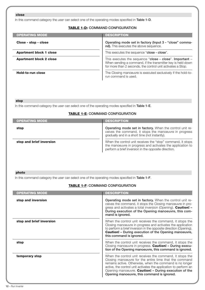# **close**

In this command category the user can select one of the operating modes specified in **Table 1-D**.

# **TABLE 1-D: COMMAND CONFIGURATION**

| <b>OPERATING MODE</b>          | <b>DESCRIPTION</b>                                                                                                                                                                    |
|--------------------------------|---------------------------------------------------------------------------------------------------------------------------------------------------------------------------------------|
| Close - stop - close           | Operating mode set in factory (Input 3 - "close" comma-<br>nd). This executes the above sequence.                                                                                     |
| <b>Apartment block 1 close</b> | This executes the sequence "close - close".                                                                                                                                           |
| <b>Apartment block 2 close</b> | This executes the sequence "close - close". Important -<br>When sending a command, if the transmitter key is held down<br>for more than 2 seconds, the control unit activates a Stop. |
| Hold-to-run close              | The Closing manoeuvre is executed exclusively if the hold-to-<br>run command is used.                                                                                                 |

# **stop**

In this command category the user can select one of the operating modes specified in **Table 1-E**.

# **TABLE 1-E: COMMAND CONFIGURATION**

| <b>OPERATING MODE</b>    | <b>DESCRIPTION</b>                                                                                                                                                                |
|--------------------------|-----------------------------------------------------------------------------------------------------------------------------------------------------------------------------------|
| stop                     | Operating mode set in factory. When the control unit re-<br>ceives the command, it stops the manoeuvre in progress<br>gradually and in a short time (not instantly).              |
| stop and brief inversion | When the control unit receives the "stop" command, it stops<br>the manoeuvre in progress and activates the application to<br>perform a brief inversion in the opposite direction. |

# **photo**

In this command category the user can select one of the operating modes specified in **Table 1-F**.

# **TABLE 1-F: COMMAND CONFIGURATION**

| <b>OPERATING MODE</b>    | <b>DESCRIPTION</b>                                                                                                                                                                                                                                                                                                                                         |
|--------------------------|------------------------------------------------------------------------------------------------------------------------------------------------------------------------------------------------------------------------------------------------------------------------------------------------------------------------------------------------------------|
| stop and inversion       | Operating mode set in factory. When the control unit re-<br>ceives the command, it stops the Closing manoeuvre in pro-<br>gress and activates a total inversion (Opening). Caution! -<br>During execution of the Opening manoeuvre, this com-<br>mand is ignored.                                                                                          |
| stop and brief inversion | When the control unit receives the command, it stops the<br>Closing manoeuvre in progress and activates the application<br>to perform a brief inversion in the opposite direction (Opening).<br><b>Caution!</b> - During execution of the Opening manoeuvre,<br>this command is ignored.                                                                   |
| stop                     | When the control unit receives the command, it stops the<br>Closing manoeuvre in progress. <b>Caution! - During execu-</b><br>tion of the Opening manoeuvre, this command is ignored.                                                                                                                                                                      |
| temporary stop           | When the control unit receives the command, it stops the<br>Closing manoeuvre for the entire time that the command<br>remains active. Otherwise, when the command is no longer<br>active, the control unit activates the application to perform an<br>Opening manoeuvre. Caution! - During execution of the<br>Opening manoeuvre, this command is ignored. |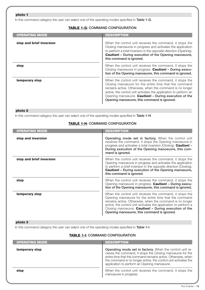# **photo 1**

In this command category the user can select one of the operating modes specified in **Table 1-G**.

# **TABLE 1-G: COMMAND CONFIGURATION**

| <b>OPERATING MODE</b>    | <b>DESCRIPTION</b>                                                                                                                                                                                                                                                                                                                                         |
|--------------------------|------------------------------------------------------------------------------------------------------------------------------------------------------------------------------------------------------------------------------------------------------------------------------------------------------------------------------------------------------------|
| stop and brief inversion | When the control unit receives the command, it stops the<br>Closing manoeuvre in progress and activates the application<br>to perform a brief inversion in the opposite direction (Opening).<br><b>Caution!</b> - During execution of the Opening manoeuvre,<br>this command is ignored.                                                                   |
| stop                     | When the control unit receives the command, it stops the<br>Closing manoeuvre in progress. Caution! - During execu-<br>tion of the Opening manoeuvre, this command is ignored.                                                                                                                                                                             |
| temporary stop           | When the control unit receives the command, it stops the<br>Closing manoeuvre for the entire time that the command<br>remains active. Otherwise, when the command is no longer<br>active, the control unit activates the application to perform an<br>Opening manoeuvre. Caution! - During execution of the<br>Opening manoeuvre, this command is ignored. |

# **photo 2**

In this command category the user can select one of the operating modes specified in **Table 1-H**.

# **TABLE 1-H: COMMAND CONFIGURATION**

| <b>OPERATING MODE</b>    | <b>DESCRIPTION</b>                                                                                                                                                                                                                                                                                                                                        |
|--------------------------|-----------------------------------------------------------------------------------------------------------------------------------------------------------------------------------------------------------------------------------------------------------------------------------------------------------------------------------------------------------|
| stop and inversion       | <b>Operating mode set in factory.</b> When the control unit<br>receives the command, it stops the Opening manoeuvre in<br>progress and activates a total inversion (Closing). Caution! -<br>During execution of the Opening manoeuvre, this com-<br>mand is ignored.                                                                                      |
| stop and brief inversion | When the control unit receives the command, it stops the<br>Opening manoeuvre in progress and activates the application<br>to perform a brief inversion in the opposite direction (Closing).<br><b>Caution!</b> - During execution of the Opening manoeuvre,<br>this command is ignored.                                                                  |
| stop                     | When the control unit receives the command, it stops the<br>Opening manoeuvre in progress. Caution! - During execu-<br>tion of the Opening manoeuvre, this command is ignored.                                                                                                                                                                            |
| temporary stop           | When the control unit receives the command, it stops the<br>Opening manoeuvre for the entire time that the command<br>remains active. Otherwise, when the command is no longer<br>active, the control unit activates the application to perform a<br>Closing manoeuvre. Caution! - During execution of the<br>Opening manoeuvre, this command is ignored. |

# **photo 3**

I

In this command category the user can select one of the operating modes specified in **Table 1-I**.

# **TABLE 1-I: COMMAND CONFIGURATION**

| <b>OPERATING MODE</b> | <b>DESCRIPTION</b>                                                                                                                                                                                                                                                                                        |
|-----------------------|-----------------------------------------------------------------------------------------------------------------------------------------------------------------------------------------------------------------------------------------------------------------------------------------------------------|
| temporary stop        | Operating mode set in factory. When the control unit re-<br>ceives the command, it stops the Closing manoeuvre for the<br>entire time that the command remains active. Otherwise, when<br>the command is no longer active, the control unit activates the<br>application to perform an Opening manoeuvre. |
| stop                  | When the control unit receives the command, it stops the<br>manoeuvre in progress.                                                                                                                                                                                                                        |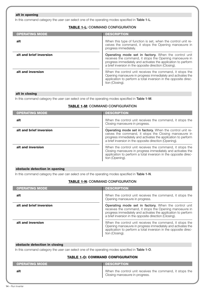# **alt in opening**

In this command category the user can select one of the operating modes specified in **Table 1-L**.

# **TABLE 1-L: COMMAND CONFIGURATION**

| <b>OPERATING MODE</b>   | <b>DESCRIPTION</b>                                                                                                                                                                                                                                |
|-------------------------|---------------------------------------------------------------------------------------------------------------------------------------------------------------------------------------------------------------------------------------------------|
| alt                     | When this type of function is set, when the control unit re-<br>ceives the command, it stops the Opening manoeuvre in<br>progress immediately.                                                                                                    |
| alt and brief inversion | <b>Operating mode set in factory.</b> When the control unit<br>receives the command, it stops the Opening manoeuvre in<br>progress immediately and activates the application to perform<br>a brief inversion in the opposite direction (Closing). |
| alt and inversion       | When the control unit receives the command, it stops the<br>Opening manoeuvre in progress immediately and activates the<br>application to perform a total inversion in the opposite direc-<br>tion (Closing).                                     |

# **alt in closing**

In this command category the user can select one of the operating modes specified in **Table 1-M**.

# **TABLE 1-M: COMMAND CONFIGURATION**

| <b>OPERATING MODE</b>   | <b>DESCRIPTION</b>                                                                                                                                                                                                                           |
|-------------------------|----------------------------------------------------------------------------------------------------------------------------------------------------------------------------------------------------------------------------------------------|
| alt                     | When the control unit receives the command, it stops the<br>Closing manoeuvre in progress.                                                                                                                                                   |
| alt and brief inversion | Operating mode set in factory. When the control unit re-<br>ceives the command, it stops the Closing manoeuvre in<br>progress immediately and activates the application to perform<br>a brief inversion in the opposite direction (Opening). |
| alt and inversion       | When the control unit receives the command, it stops the<br>Closing manoeuvre in progress immediately and activates the<br>application to perform a total inversion in the opposite direc-<br>tion (Opening).                                |

# **obstacle detection in opening**

In this command category the user can select one of the operating modes specified in **Table 1-N**.

# **TABLE 1-N: COMMAND CONFIGURATION**

| <b>OPERATING MODE</b>   | <b>DESCRIPTION</b>                                                                                                                                                                                                                                |
|-------------------------|---------------------------------------------------------------------------------------------------------------------------------------------------------------------------------------------------------------------------------------------------|
| alt                     | When the control unit receives the command, it stops the<br>Opening manoeuvre in progress.                                                                                                                                                        |
| alt and brief inversion | <b>Operating mode set in factory.</b> When the control unit<br>receives the command, it stops the Opening manoeuvre in<br>progress immediately and activates the application to perform<br>a brief inversion in the opposite direction (Closing). |
| alt and inversion       | When the control unit receives the command, it stops the<br>Opening manoeuvre in progress immediately and activates the<br>application to perform a total inversion in the opposite direc-<br>tion (Closing).                                     |

# **obstacle detection in closing**

In this command category the user can select one of the operating modes specified in **Table 1-O**.

# **TABLE 1-O: COMMAND CONFIGURATION**

| <b>OPERATING MODE</b> | <b>I</b> DESCRIPTION <b>I</b>                                                              |
|-----------------------|--------------------------------------------------------------------------------------------|
| alt                   | When the control unit receives the command, it stops the<br>Closing manoeuvre in progress. |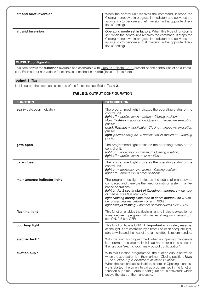| alt and brief inversion | When the control unit receives the command, it stops the<br>Closing manoeuvre in progress immediately and activates the<br>application to perform a brief inversion in the opposite direc-<br>tion (Opening).                                                                             |
|-------------------------|-------------------------------------------------------------------------------------------------------------------------------------------------------------------------------------------------------------------------------------------------------------------------------------------|
| alt and inversion       | <b>Operating mode set in factory.</b> When this type of function is<br>set, when the control unit receives the command, it stops the<br>Closing manoeuvre in progress immediately and activates the<br>application to perform a total inversion in the opposite direc-<br>tion (Opening). |

# **OUTPUT configuration**

This item covers the **functions** available and associable with Outputs 1 (flash) - 2 - 3 present on the control unit of an automation. Each output has various functions as described in a **table** (Table 2, Table 3 etc):

# **output 1 (flash)**

In this output the user can select one of the functions specified in **Table 2**.

# **TABLE 2: OUTPUT CONFIGURATION**

| <b>FUNCTION</b>               | <b>DESCRIPTION</b>                                                                                                                                                                                                                                                                                                                                                                                                              |
|-------------------------------|---------------------------------------------------------------------------------------------------------------------------------------------------------------------------------------------------------------------------------------------------------------------------------------------------------------------------------------------------------------------------------------------------------------------------------|
| $sca$ (= gate open indicator) | The programmed light indicates the operating status of the<br>control unit.<br><b>light off</b> = application in maximum Closing position;<br>slow flashing $=$ application Opening manoeuvre execution<br>phase:<br><b>quick flashing</b> = application Closing manoeuvre execution<br>phase:<br><b>light permanently on</b> = application in maximum Opening<br>position.                                                     |
| gate open                     | The programmed light indicates the operating status of the<br>control unit.<br>light on = application in maximum Opening position;<br><b>light off</b> = application in other positions.                                                                                                                                                                                                                                        |
| gate closed                   | The programmed light indicates the operating status of the<br>control unit.<br><b>light on</b> = application in maximum Closing position;<br><b>light off</b> = application in other positions.                                                                                                                                                                                                                                 |
| maintenance indicator light   | The programmed light indicates the count of manoeuvres<br>completed and therefore the need (or not) for system mainte-<br>nance operations.<br>light on for 2 sec at start of Opening manoeuvre = number<br>of manoeuvres less than 80%;<br>light flashing during execution of entire manoeuvre = num-<br>ber of manoeuvres between 80 and 100%;<br>light always flashing = number of manoeuvres over 100%.                     |
| flashing light                | This function enables the flashing light to indicate execution of<br>a manoeuvre in progress with flashes at regular intervals (0.5)<br>sec ON, 0.5 sec OFF).                                                                                                                                                                                                                                                                   |
| courtesy light                | This function type is ON/OFF. Important - For safety reasons,<br>as the light is not controlled by a timer, use of an adequate light,<br>able to withstand the heat of the light emitted, is recommended.                                                                                                                                                                                                                       |
| electric lock 1               | With this function programmed, when an Opening manoeuvre<br>is performed the electric lock is activated for a time as set in<br>the function "electric lock time - output configuration".                                                                                                                                                                                                                                       |
| suction cup 1                 | With this function programmed, the suction cup is activated<br>when the application is in the maximum Closing position. Note<br>- The suction cup is disabled in all other situations.<br>When the suction cup is disabled, before an Opening manoeu-<br>vre is started, the time interval as programmed in the function<br>"suction cup time - output configuration" is activated, which<br>delays the start of the manoeuvre. |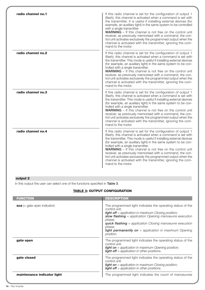| radio channel no.1 | If this radio channel is set for the configuration of output 1<br>(flash), this channel is activated when a command is set with<br>the transmitter. It is useful if installing external devices (for<br>example, an auxiliary light) in the same system to be controlled<br>with a single transmitter.<br><b>WARNING</b> – If this channel is not free on the control unit<br>receiver, as previously memorised with a command, the con-<br>trol unit activates exclusively the programmed output when the<br>channel is activated with the transmitter, ignoring the com-<br>mand to the motor.          |
|--------------------|-----------------------------------------------------------------------------------------------------------------------------------------------------------------------------------------------------------------------------------------------------------------------------------------------------------------------------------------------------------------------------------------------------------------------------------------------------------------------------------------------------------------------------------------------------------------------------------------------------------|
| radio channel no.2 | If this radio channel is set for the configuration of output 1<br>(flash), this channel is activated when a command is set with<br>the transmitter. This mode is useful if installing external devices<br>(for example, an auxiliary light) in the same system to be con-<br>trolled with a single transmitter.<br>WARNING - If this channel is not free on the control unit<br>receiver, as previously memorised with a command, the con-<br>trol unit activates exclusively the programmed output when the<br>channel is activated with the transmitter, ignoring the com-<br>mand to the motor.        |
| radio channel no.3 | If this radio channel is set for the configuration of output 1<br>(flash), this channel is activated when a command is set with<br>the transmitter. This mode is useful if installing external devices<br>(for example, an auxiliary light) in the same system to be con-<br>trolled with a single transmitter.<br><b>WARNING</b> - If this channel is not free on the control unit<br>receiver, as previously memorised with a command, the con-<br>trol unit activates exclusively the programmed output when the<br>channel is activated with the transmitter, ignoring the com-<br>mand to the motor. |
| radio channel no.4 | If this radio channel is set for the configuration of output 1<br>(flash), this channel is activated when a command is set with<br>the transmitter. This mode is useful if installing external devices<br>(for example, an auxiliary light) in the same system to be con-<br>trolled with a single transmitter.<br><b>WARNING</b> - If this channel is not free on the control unit<br>receiver, as previously memorised with a command, the con-<br>trol unit activates exclusively the programmed output when the<br>channel is activated with the transmitter, ignoring the com-<br>mand to the motor. |

# **output 2**

In this output the user can select one of the functions specified in **Table 3**.

# **TABLE 3: OUTPUT CONFIGURATION**

| <b>FUNCTION</b>               | <b>DESCRIPTION</b>                                                                                                                                                                                                                                                                                                                                                          |
|-------------------------------|-----------------------------------------------------------------------------------------------------------------------------------------------------------------------------------------------------------------------------------------------------------------------------------------------------------------------------------------------------------------------------|
| $sca$ (= gate open indicator) | The programmed light indicates the operating status of the<br>control unit.<br><b>light off</b> = application in maximum Closing position;<br>slow flashing $=$ application Opening manoeuvre execution<br>phase:<br><b>quick flashing</b> = application Closing manoeuvre execution<br>phase:<br><b>light permanently on</b> = application in maximum Opening<br>position. |
| gate open                     | The programmed light indicates the operating status of the<br>control unit.<br><b>light on</b> = application in maximum Opening position;<br><b>light off</b> = application in other positions.                                                                                                                                                                             |
| gate closed                   | The programmed light indicates the operating status of the<br>control unit.<br><b>light on</b> = application in maximum Closing position;<br><b>light off</b> = application in other positions.                                                                                                                                                                             |
| maintenance indicator light   | The programmed light indicates the count of manoeuvres                                                                                                                                                                                                                                                                                                                      |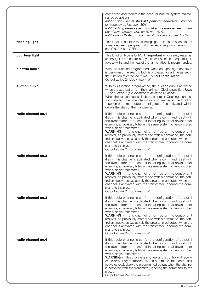|                    | completed and therefore the need (or not) for system mainte-<br>nance operations.<br>light on for 2 sec at start of Opening manoeuvre $=$ number<br>of manoeuvres less than 80%;<br>light flashing during execution of entire manoeuvre = num-<br>ber of manoeuvres between 80 and 100%;<br><b>light always flashing</b> = number of manoeuvres over 100%.                                                                                                                                                                                                                                                                        |
|--------------------|-----------------------------------------------------------------------------------------------------------------------------------------------------------------------------------------------------------------------------------------------------------------------------------------------------------------------------------------------------------------------------------------------------------------------------------------------------------------------------------------------------------------------------------------------------------------------------------------------------------------------------------|
| flashing light     | This function enables the flashing light to indicate execution of<br>a manoeuvre in progress with flashes at regular intervals (o.5<br>sec ON, 0.5 sec OFF).                                                                                                                                                                                                                                                                                                                                                                                                                                                                      |
| courtesy light     | This function type is ON/OFF. Important - For safety reasons,<br>as the light is not controlled by a timer, use of an adequate light,<br>able to withstand the heat of the light emitted, is recommended.                                                                                                                                                                                                                                                                                                                                                                                                                         |
| electric lock 1    | With this function programmed, when an Opening manoeuvre<br>is performed the electric lock is activated for a time as set in<br>the function "electric lock time - output configuration".<br>Output active 24 Vdc / max 4 W                                                                                                                                                                                                                                                                                                                                                                                                       |
| suction cup 1      | With this function programmed, the suction cup is activated<br>when the application is in the maximum Closing position. Note<br>- The suction cup is disabled in all other situations.<br>When the suction cup is disabled, before an Opening manoeu-<br>vre is started, the time interval as programmed in the function<br>"suction cup time - output configuration" is activated, which<br>delays the start of the manoeuvre.                                                                                                                                                                                                   |
| radio channel no.1 | If this radio channel is set for the configuration of output 1<br>(flash), this channel is activated when a command is set with<br>the transmitter. It is useful if installing external devices (for<br>example, an auxiliary light) in the same system to be controlled<br>with a single transmitter.<br><b>WARNING</b> - If this channel is not free on the control unit<br>receiver, as previously memorised with a command, the con-<br>trol unit activates exclusively the programmed output when the<br>channel is activated with the transmitter, ignoring the com-<br>mand to the motor.<br>Output active 24Vdc / max 4 W |
| radio channel no.2 | If this radio channel is set for the configuration of output 1<br>(flash), this channel is activated when a command is set with<br>the transmitter. It is useful if installing external devices (for<br>example, an auxiliary light) in the same system to be controlled<br>with a single transmitter.<br><b>WARNING</b> – If this channel is not free on the control unit<br>receiver, as previously memorised with a command, the con-<br>trol unit activates exclusively the programmed output when the<br>channel is activated with the transmitter, ignoring the com-<br>mand to the motor.<br>Output active 24Vdc / max 4 W |
| radio channel no.3 | If this radio channel is set for the configuration of output 1<br>(flash), this channel is activated when a command is set with<br>the transmitter. It is useful if installing external devices (for<br>example, an auxiliary light) in the same system to be controlled<br>with a single transmitter.<br><b>WARNING</b> – If this channel is not free on the control unit<br>receiver, as previously memorised with a command, the con-<br>trol unit activates exclusively the programmed output when the<br>channel is activated with the transmitter, ignoring the com-<br>mand to the motor.<br>Output active 24Vdc / max 4 W |
| radio channel no.4 | If this radio channel is set for the configuration of output 1<br>(flash), this channel is activated when a command is set with<br>the transmitter. It is useful if installing external devices (for<br>example, an auxiliary light) in the same system to be controlled<br>with a single transmitter.<br><b>WARNING</b> – If this channel is not free on the control unit receiv-<br>er, as previously memorised with a command, the control unit<br>activates exclusively the programmed output when the channel<br>is activated with the transmitter, ignoring the command to the<br>motor.<br>Output active 24Vdc / max 4 W   |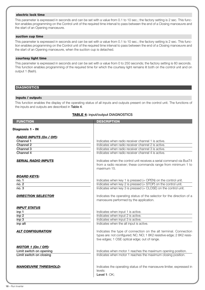# **electric lock time**

This parameter is expressed in seconds and can be set with a value from 0.1 to 10 sec.; the factory setting is 2 sec. This function enables programming on the Control unit of the required time interval to pass between the end of a Closing manoeuvre and the start of an Opening manoeuvre.

# **suction cup time**

This parameter is expressed in seconds and can be set with a value from 0.1 to 10 sec.; the factory setting is 2 sec. This function enables programming on the Control unit of the required time interval to pass between the end of a Closing manoeuvre and the start of an Opening manoeuvre, when the suction cup is detached.

# **courtesy light time**

This parameter is expressed in seconds and can be set with a value from 0 to 250 seconds; the factory setting is 60 seconds. This function enables programming of the required time for which the courtesy light remains lit both on the control unit and on output 1 (flash).

# **DIAGNOSTICS**

# **inputs / outputs**

This function enables the display of the operating status of all inputs and outputs present on the control unit. The functions of the inputs and outputs are described in **Table 4**.

# **TABLE 4: input/output DIAGNOSTICS**

| <b>FUNCTION</b>                                                                                                          | <b>DESCRIPTION</b>                                                                                                                                                                                                                                                                                                                                           |
|--------------------------------------------------------------------------------------------------------------------------|--------------------------------------------------------------------------------------------------------------------------------------------------------------------------------------------------------------------------------------------------------------------------------------------------------------------------------------------------------------|
| Diagnosis 1 - IN                                                                                                         |                                                                                                                                                                                                                                                                                                                                                              |
| <b>RADIO INPUTS (On / Off):</b><br><b>Channel 1</b><br>Channel 2<br>Channel 3<br>Channel 4<br><b>SERIAL RADIO INPUTS</b> | Indicates when radio receiver channel 1 is active.<br>Indicates when radio receiver channel 2 is active.<br>Indicates when radio receiver channel 3 is active.<br>Indicates when radio receiver channel 4 is active.<br>Indicates when the control unit receives a serial command via BusT4<br>from a radio receiver; these commands range from minimum 1 to |
|                                                                                                                          | maximum 15.                                                                                                                                                                                                                                                                                                                                                  |
| <b>BOARD KEYS:</b><br>no. 1<br>no. 2<br>no. 3                                                                            | Indicates when key 1 is pressed $(=$ OPEN $)$ on the control unit.<br>Indicates when key 2 is pressed (= STOP) on the control unit.<br>Indicates when key $3$ is pressed (= CLOSE) on the control unit.                                                                                                                                                      |
| <b>DIRECTION SELECTOR</b>                                                                                                | Indicates the operating status of the selector for the direction of a<br>manoeuvre performed by the application.                                                                                                                                                                                                                                             |
| <b>INPUT STATUS</b><br>inp 1<br>inp <sub>2</sub><br>inp <sub>3</sub><br>inp alt                                          | Indicates when input 1 is active.<br>Indicates when input 2 is active.<br>Indicates when input 3 is active.<br>Indicates when the alt input is active.                                                                                                                                                                                                       |
| <b>ALT CONFIGURATION</b>                                                                                                 | Indicates the type of connection on the alt terminal. Connection<br>types are: not configured; NC; NO; 1 8K2 resistive edge; 2 8K2 resis-<br>tive edges; 1 OSE optical edge; out of range.                                                                                                                                                                   |
| <b>MOTOR 1 (On / Off):</b><br>Limit switch on opening<br>Limit switch on closing                                         | Indicates when motor 1 reaches the maximum opening position.<br>Indicates when motor 1 reaches the maximum closing position.                                                                                                                                                                                                                                 |
| <b>MANOEUVRE THRESHOLD:</b>                                                                                              | Indicates the operating status of the manoeuvre limiter, expressed in<br>levels:<br>Level 1: OK;                                                                                                                                                                                                                                                             |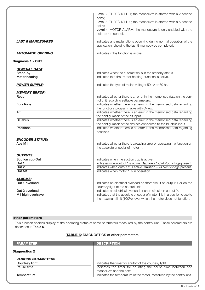|                                                          | Level 2: THRESHOLD 1; the manoeuvre is started with a 2 second<br>delay;<br>Level 3: THRESHOLD 2; the manoeuvre is started with a 5 second<br>delay;<br>Level 4: MOTOR ALARM; the manoeuvre is only enabled with the<br>hold-to-run control. |
|----------------------------------------------------------|----------------------------------------------------------------------------------------------------------------------------------------------------------------------------------------------------------------------------------------------|
| <b>LAST 8 MANOEUVRES</b>                                 | Indicates any malfunctions occurring during normal operation of the<br>application, showing the last 8 manoeuvres completed.                                                                                                                 |
| <b>AUTOMATIC OPENING</b>                                 | Indicates if this function is active.                                                                                                                                                                                                        |
| <b>Diagnosis 1 - OUT</b>                                 |                                                                                                                                                                                                                                              |
| <b>GENERAL DATA:</b><br>Stand-by<br><b>Motor heating</b> | Indicates when the automation is in the standby status.<br>Indicates that the "motor heating" function is active.                                                                                                                            |
| <b>POWER SUPPLY:</b>                                     | Indicates the type of mains voltage: 50 hz or 60 hz.                                                                                                                                                                                         |
| <b>MEMORY ERROR:</b><br>Rego                             | Indicates whether there is an error in the memorised data on the con-<br>trol unit regarding settable parameters.                                                                                                                            |
| <b>Functions</b>                                         | Indicates whether there is an error in the memorised data regarding<br>the functions programmable with Oview.                                                                                                                                |
| <b>Alt</b>                                               | Indicates whether there is an error in the memorised data regarding<br>the configuration of the alt input.                                                                                                                                   |
| <b>Bluebus</b>                                           | Indicates whether there is an error in the memorised data regarding<br>the configuration of the devices connected to the bluebus input.                                                                                                      |
| <b>Positions</b>                                         | Indicates whether there is an error in the memorised data regarding<br>positions.                                                                                                                                                            |
| <b>ENCODER STATUS:</b><br>Abs M1                         | Indicates whether there is a reading error or operating malfunction on<br>the absolute encoder of motor 1.                                                                                                                                   |
| <b>OUTPUTS:</b><br>Suction cup Out                       | Indicates when the suction cup is active.                                                                                                                                                                                                    |
| Out 1                                                    | Indicates when output 1 is active. Caution - 12/24 Vdc voltage present.                                                                                                                                                                      |
| Out 2                                                    | Indicates when output 2 is active. Caution - 24 Vdc voltage present.                                                                                                                                                                         |
| Out M1                                                   | Indicates when motor 1 is in operation.                                                                                                                                                                                                      |
| <b>ALARMS:</b><br>Out 1 overload<br>Out 2 overload       | Indicates an electrical overload or short circuit on output 1 or on the<br>courtesy light of the control unit.<br>Indicates an electrical overload or short circuit on output 2.                                                             |
| M1 high overtravel                                       | Indicates that the absolute encoder of motor 1 is in a position close to                                                                                                                                                                     |
|                                                          | the maximum limit (100%), over which the motor does not function.                                                                                                                                                                            |

# **other parameters**

This function enables display of the operating status of some parameters measured by the control unit. These parameters are described in **Table 5**.

# **TABLE 5: DIAGNOSTICS of other parameters**

| <b>PARAMETER</b>                                           | <b>DESCRIPTION</b>                                                                                                    |
|------------------------------------------------------------|-----------------------------------------------------------------------------------------------------------------------|
| <b>Diagnostics 2</b>                                       |                                                                                                                       |
| <b>VARIOUS PARAMETERS:</b><br>Courtesy light<br>Pause time | Indicates the timer for shutoff of the courtesy light.<br>Indicates the timer for counting the pause time between one |
| Temperature                                                | manoeuvre and the next.<br>Indicates the temperature of the motor, measured by the control unit.                      |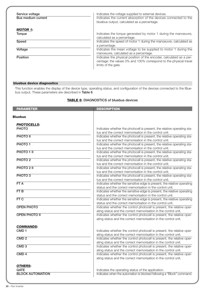| Service voltage    | Indicates the voltage supplied to external devices.                                                                                                              |
|--------------------|------------------------------------------------------------------------------------------------------------------------------------------------------------------|
| Bus medium current | Indicates the current absorption of the devices connected to the<br>bluebus output, calculated as a percentage.                                                  |
| <b>MOTOR 1:</b>    |                                                                                                                                                                  |
| Torque             | Indicates the torque generated by motor 1 during the manoeuvre,<br>calculated as a percentage.                                                                   |
| Speed              | Indicates the speed of motor 1 during the manoeuvre, calculated as<br>a percentage.                                                                              |
| Voltage            | Indicates the mean voltage to be supplied to motor 1 during the<br>manoeuvre, calculated as a percentage.                                                        |
| Position           | Indicates the physical position of the encoder, calculated as a per-<br>centage: the values 0% and 100% correspond to the physical travel<br>limits of the gate. |

# **bluebus device diagnostics**

This function enables the display of the device type, operating status, and configuration of the devices connected to the Bluebus output. These parameters are described in **Table 6**.

# **TABLE 6: DIAGNOSTICS of bluebus devices**

| <b>PARAMETER</b>        | <b>DESCRIPTION</b>                                                                                                               |
|-------------------------|----------------------------------------------------------------------------------------------------------------------------------|
| <b>Bluebus</b>          |                                                                                                                                  |
| <b>PHOTOCELLS:</b>      |                                                                                                                                  |
| <b>PHOTO</b>            | Indicates whether the photocell is present, the relative operating sta-                                                          |
|                         | tus and the correct memorisation in the control unit.                                                                            |
| <b>PHOTO II</b>         | Indicates whether the photocell is present, the relative operating sta-                                                          |
|                         | tus and the correct memorisation in the control unit.                                                                            |
| PHOTO <sub>1</sub>      | Indicates whether the photocell is present, the relative operating sta-                                                          |
|                         | tus and the correct memorisation in the control unit.                                                                            |
| PHOTO 1 II              | Indicates whether the photocell is present, the relative operating sta-                                                          |
| PHOTO <sub>2</sub>      | tus and the correct memorisation in the control unit.<br>Indicates whether the photocell is present, the relative operating sta- |
|                         | tus and the correct memorisation in the control unit.                                                                            |
| PHOTO 2 II              | Indicates whether the photocell is present, the relative operating sta-                                                          |
|                         | tus and the correct memorisation in the control unit.                                                                            |
| PHOTO <sub>3</sub>      | Indicates whether the photocell is present, the relative operating sta-                                                          |
|                         | tus and the correct memorisation in the control unit.                                                                            |
| FTA                     | Indicates whether the sensitive edge is present, the relative operating                                                          |
|                         | status and the correct memorisation in the control unit.                                                                         |
| FTB                     | Indicates whether the sensitive edge is present, the relative operating                                                          |
|                         | status and the correct memorisation in the control unit.                                                                         |
| FT C                    | Indicates whether the sensitive edge is present, the relative operating                                                          |
|                         | status and the correct memorisation in the control unit.                                                                         |
| <b>OPEN PHOTO</b>       | Indicates whether the control photocell is present, the relative oper-                                                           |
|                         | ating status and the correct memorisation in the control unit.                                                                   |
| <b>OPEN PHOTO II</b>    | Indicates whether the control photocell is present, the relative oper-                                                           |
|                         | ating status and the correct memorisation in the control unit.                                                                   |
| <b>COMMANDS:</b>        |                                                                                                                                  |
| CMD <sub>1</sub>        | Indicates whether the control photocell is present, the relative oper-                                                           |
|                         | ating status and the correct memorisation in the control unit.                                                                   |
| CMD <sub>2</sub>        | Indicates whether the control photocell is present, the relative oper-                                                           |
|                         | ating status and the correct memorisation in the control unit.                                                                   |
| $\overline{CMD}$ 3      | Indicates whether the control photocell is present, the relative oper-                                                           |
|                         | ating status and the correct memorisation in the control unit.                                                                   |
| $\overline{CMD4}$       | Indicates whether the control photocell is present, the relative oper-                                                           |
|                         | ating status and the correct memorisation in the control unit.                                                                   |
| <b>OTHERS:</b>          |                                                                                                                                  |
| <b>GATE</b>             | Indicates the operating status of the application.                                                                               |
| <b>BLOCK AUTOMATION</b> | Indicates when the automation is blocked following a "Block" command.                                                            |
|                         |                                                                                                                                  |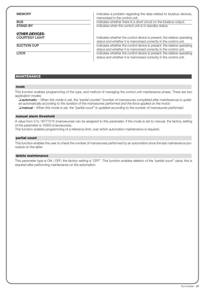| <b>MEMORY</b><br><b>BUS</b><br><b>STAND-BY</b> | Indicates a problem regarding the data related to bluebus devices,<br>memorised in the control unit.<br>Indicates whether there is a short circuit on the bluebus output.<br>Indicates when the control unit is in standby status.                                                           |
|------------------------------------------------|----------------------------------------------------------------------------------------------------------------------------------------------------------------------------------------------------------------------------------------------------------------------------------------------|
| <b>OTHER DEVICES:</b><br><b>COURTESY LIGHT</b> | Indicates whether the control device is present, the relative operating<br>status and whether it is memorised correctly in the control unit.                                                                                                                                                 |
| <b>SUCTION CUP</b><br><b>LOCK</b>              | Indicates whether the control device is present, the relative operating<br>status and whether it is memorised correctly in the control unit.<br>Indicates whether the control device is present, the relative operating<br>status and whether it is memorised correctly in the control unit. |

# **MAINTENANCE**

#### **mode**

This function enables programming of the type, and method of managing the control unit maintenance phase. There are two application modes:

❏ *automatic – When this mode is set, the "partial counter" (number of manoeuvres completed after maintenance) is updated automatically according to the duration of the manoeuvres performed and the force applied on the motor;* ❏ *manual – When this mode is set, the "partial count" is updated according to the number of manoeuvres performed.*

# **manual alarm threshold**

A value from 0 to 16777215 (manoeuvres) can be assigned to this parameter; if the mode is set to manual, the factory setting of the parameter is 10000 (manoeuvres).

This function enables programming of a reference limit, over which automation maintenance is required.

# **partial count**

This function enables the user to check the number of manoeuvres performed by an automation since the last maintenance procedure on the latter.

#### **delete maintenance**

This parameter type is ON / OFF; the factory setting is "OFF". This function enables deletion of the "partial count" value; this is required after performing maintenance on the automation.